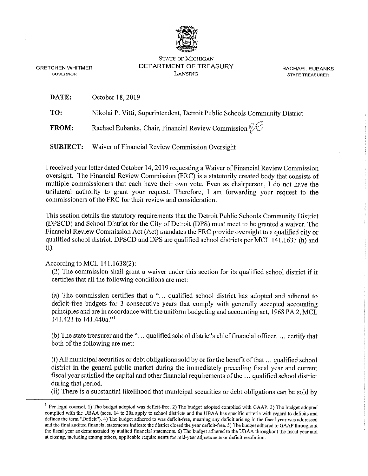

STATE OF MICHIGAN DEPARTMENT OF TREASURY LANSING

RACHAEL EUBANKS **STATE TREASURER** 

GRETCHEN WHITMER **GOVERNOR** 

**DATE:** October 18, 2019

**TO:** Nikolai P. Vitti, Superintendent, Detroit Public Schools Community District

**FROM:** Rachael Eubanks, Chair, Financial Review Commission  $\mathcal{U}$ 

**SUBJECT:** Waiver of Financial Review Commission Oversight

I received your letter dated October 14, 2019 requesting a Waiver of Financial Review Commission oversight. The Financial Review Commission (FRC) is a statutorily created body that consists of multiple commissioners that each have their own vote. Even as chairperson, I do not have the unilateral authority to grant your request. Therefore, I am forwarding your request to the commissioners of the FRC for their review and consideration.

This section details the statutory requirements that the Detroit Public Schools Community District (DPSCD) and School District for the City of Detroit (DPS) must meet to be granted a waiver. The Financial Review Commission Act (Act) mandates the FRC provide oversight to a qualified city or qualified school district. DPSCD and DPS are qualified school districts per MCL 141.1633 (h) and (i).

# According to MCL 141.1638(2):

(2) The commission shall grant a waiver under this section for its qualified school district if it certifies that all the following conditions are met:

(a) The commission certifies that a "... qualified school district has adopted and adhered to deficit-free budgets for 3 consecutive years that comply with generally accepted accounting principles and are in accordance with the uniform budgeting and accounting act, 1968 PA 2, MCL 141.421 to 141.440a."<sup>1</sup>

(b) The state treasurer and the" ... qualified school district's chief financial officer, ... certify that both of the following are met:

(i) All municipal securities or debt obligations sold by or for the benefit of that ... qualified school district in the general public market during the immediately preceding fiscal year and current fiscal year satisfied the capital and other financial requirements of the ... qualified school district during that period.

(ii) There is a substantial likelihood that municipal securities or debt obligations can be sold by

<sup>&</sup>lt;sup>1</sup> Per legal counsel, 1) The budget adopted was deficit-free. 2) The budget adopted complied with GAAP. 3) The budget adopted **complied with the UBAA (secs. 14 to 20a apply to school districts and the UBAA has specific criteria with regard to deficits and defines the term "Deficit"). 4) The budget adhered to was deficit-free, meaning any deficit arising in the fiscal year was addressed and the final audited financial statements indicate the district closed the year deficit-free. 5) The budget adhered to GAAP throughout the fiscal year as demonstrated by audited financial statements. 6) The budget adhered to the UBAA throughout the fiscal year and at closing, including among others, applicable requirements for mid~year adjustments or deficit resolution.**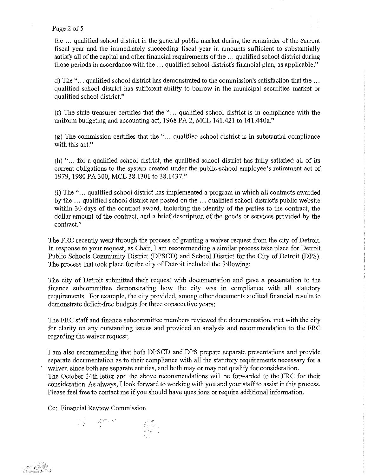### Page 2 of 5

the ... qualified school district in the general public market during the remainder of the current fiscal year and the immediately succeeding fiscal year in amounts sufficient to substantially satisfy all of the capital and other financial requirements of the ... qualified school district during those periods in accordance with the ... qualified school district's financial plan, as applicable."

d) The" ... qualified school district has demonstrated to the commission's satisfaction that the ... qualified school district has sufficient ability to borrow in the municipal securities market or qualified school district."

(f) The state treasurer certifies that the " ... qualified school district is in compliance with the uniform budgeting and accounting act, 1968 PA 2, MCL 141.421 to 141.440a."

(g) The commission certifies that the " ... qualified school district is in substantial compliance with this act."

(h) " ... for a qualified school district, the qualified school district has fully satisfied all of its current obligations to the system created under the public-school employee's retirement act of 1979, 1980 PA 300, MCL 38.1301 to 38.1437."

(i) The " ... qualified school district has implemented a program in which all contracts awarded by the ... qualified school district are posted on the ... qualified school district's public website within 30 days of the contract award, including the identity of the parties to the contract, the dollar amount of the contract, and a brief description of the goods or services provided by the **contract."** 

The PRC recently went through the process of granting a waiver request from the city of Detroit. 1n response to your request, as Chair, I am recommending a similar process take place for Detroit Public Schools Community District (DPSCD) and School District for the City of Detroit (DPS). The process that took place for the city of Detroit included the following:

The city of Detroit submitted their request with documentation and gave a presentation to the finance subcommittee demonstrating how the city was in compliance with all statutory requirements. For example, the city provided, among other documents audited financial results to demonstrate deficit-free budgets for three consecutive years;

The FRC staff and finance subcommittee members reviewed the documentation, met with the city for clarity on any outstanding issues and provided an analysis and recommendation to the PRC regarding the waiver request;

I am also recommending that both DPSCD and DPS prepare separate presentations and provide separate documentation as to their compliance with all the statutory requirements necessary for a waiver, since both are separate entities, and both may or may not qualify for consideration. The October 14th letter and the above recommendations will be forwarded to the PRC for their consideration. As always, I look forward to working with you and your staff to assist in this process. Please feel free to contact me if you should have questions or require additional information.

Cc: Financial Review Commission

 $\label{eq:3.1} \begin{array}{ll} \mathbb{E}[\hat{f}]=\mathbb{E}^{D\times D^{\prime}} \end{array}$ 

es al Gre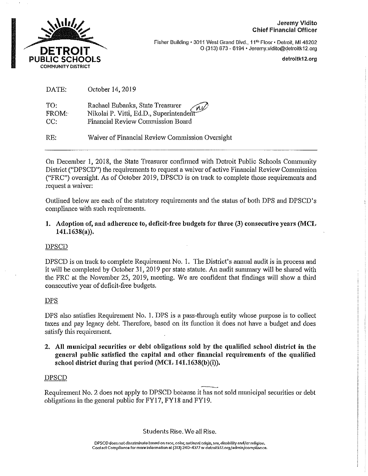### Jeremy Vidito Chief Financial Officer



Fisher Building • 3011 Wesl Grand Blvd., 11'" Floor• Detroit, Ml 48202 0 (313) 873 - 6194 • Jeremy.vidilo@detroltk12.org

detroltk12,org

| DATE: | October 14, 2019 |  |
|-------|------------------|--|
|       |                  |  |

| TO:   | Rachael Eubanks, State Treasurer<br>Nikolai P. Vitti, Ed.D., Superintendent |
|-------|-----------------------------------------------------------------------------|
| FROM: |                                                                             |
| CC:   | Financial Review Commission Board                                           |

RE: Waiver of Financial Review Commission Oversight

On December I, 2018, the State Treasurer confirmed with Detroit Public Schools Community District ("DPSCD") the requirements to request a waiver of active Financial Review Commission ("FRC") oversight, As of October 2019, DPSCD is on track to complete those requirements and request a waiver:

Outlined below are each of the statutory requirements and the status of both DPS and DPSCD's compliance with such requirements.

**1. Adoption of, and adherence to, deficit-free budgets for three (3) consecutive years (MCL 141.1638(a)).** 

# DPSCD

DPSCD is on track to complete Requirement No. 1. The District's annual audit is in process and it will be completed by October 31, 2019 per state statute. An audit sunnnary will be shared with the FRC at the November 25, 2019, meeting. We are confident that findings will show a third consecutive year of deficit-free budgets.

# **DPS**

DPS also satisfies Requirement No. 1. DPS is a pass-through entity whose purpose is to collect taxes and pay legacy debt. Therefore, based on its function it does not have a budget and does satisfy this requirement.

**2. All municipal securities or debt obligations sold by the qualified school district in the general public satisfied the capital and other financial requirements of the qualified**  school district during that period (MCL 141.1638(b)(i)).

# DPSCD

Requirement No. 2 does not apply to DPSCD because it has not sold municipal securities or debt obligations in the general public for FY17, FY18 and FY19.

Students Rise. We all Rise.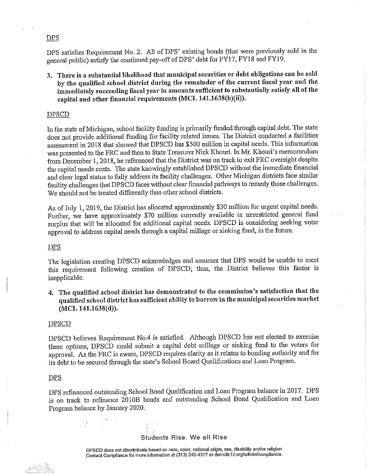### **DPS**

DPS satisfies Requirement No. 2. All of DPS' existing bonds (that were previously sold in the general public) satisfy the continued pay-off of DPS' debt for FYI 7, FY18 and FY19.

3, There is a substantial likelihood that municipal securities or debt obligations can be sold by the qualified school district during the remainder of the current fiscal year and the immediately succeeding fiscal year in amounts sufficient to substantially satisfy all of the capital and other financial requirements (MCL 141.1638(b)(ii)).

#### DPSCD

In the state of Michigan, school facility funding is primarily funded through capital debt. The state does not provide additional funding for facility related issues. The District conducted a facilities assessment in 2018 that showed that DPSCD has \$500 million in capital needs. This information was presented to the FRC and then to State Treasurer Nick Khouri. In Mr. Khouri's memorandum from December 1, 2018, he referenced that the District was on track to exit FRC oversight despite the capital needs costs. The state knowingly established DPSCD without the immediate financial and clear legal status to fully address its facility challenges. Other Michigan districts face similar facility challenges that DPSCD faces without clear financial pathways to remedy those challenges. We should not be treated differently than other school districts.

As of July 1, 2019, the District has allocated approximately \$30 million for urgent capital needs. Further, we have approximately \$70 million currently available in unrestricted general fund surplus that will be allocated for additional capital needs. DPSCD is considering seeking voter approval to address capital needs through a capital millage or sinking fund, in the future.

### **DPS**

The legislation creating DPSCD acknowledges and assumes that DPS would be unable to meet this requirement following creation of DPSCD; thus, the District believes this factor is inapplicable.

**4. The qualified school district has demonstrated to the commission's satisfaction that the qualified school district has sufficient ability to borrow in the municipal securities market (MCL 141.1638(d)).** 

#### DPSCD

DPSCD believes Requirement No.4 is satisfied. Although DPSCD has not elected to exercise these options, DPSCD could submit a capital debt millage or sinking fund to the voters for approval. As the FRC is aware, DPSCD requires clarity as it relates to bonding authority and for its debt to be secured through the state's School Board Qualifications and Loan Program.

#### **DPS**

DPS refinanced outstanding School Bond Qualification and Loan Program balance in 2017. DPS is on track to refinance 2010B bonds and outstanding School Bond Qualification and Loan Program balance by January 2020.

# Students Rise. We all Rise

**DPSCD does not discriminate based on race, color, nalional origin, sex, disability and/or religion Contact Compllance for more Information at (313) 240-4377 or detroitk12.org/admln/compllance.**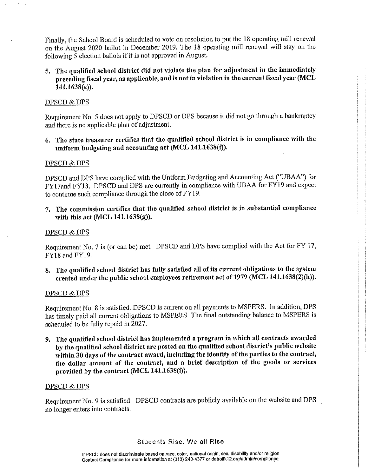Finally, the School Board is scheduled to vote on resolution to put the 18 operating mill renewal on the August 2020 ballot in December 2019. The 18 operating mill renewal will stay on the following 5 election ballots if it is not approved in August.

**5. The qualificcl school district did not violate the plan for adjustment in the immediately preceding fiscal year, as applicable, and is not in violation in the current fiscal year (MCL 141.1638(e)).** 

# DPSCD & DPS

Requirement No. 5 does not apply to DPSCD or DPS because it did not go through a bankruptcy and there is no applicable plan of adjustment.

6. **The state treasurer certifies that the qualified school district is iu compliance with the uniform budgeting and accounting act (MCL 141.1638(f)).** 

# DPSCD & DPS

DPSCD and DPS have complied with the Uniform Budgeting and Accounting Act ("UBAA") for FY17and FY18. DPSCD and DPS are currently in compliance with UBAA for FY19 and expect to continue such compliance through the close ofFY19.

7. **The commission certifies that the qualified school district is in substantial compliance with this act (MCL 141.1638(g)).** 

# DPSCD&DPS

Requirement No. 7 is (or can be) met. DPSCD and DPS have complied with the Act for FY 17, FY18 and FY19.

8. The qualified school district has fully satisfied all of its current obligations to the system created under the public school employees retirement act of 1979 (MCL 141.1638(2)(h)).

# DPSCD&DPS

Requirement No. 8 is satisfied. DPSCD is current on all payments to MSPERS. In addition, DPS has timely paid all current obligations to MSPERS. The final outstanding balance to MSPERS is scheduled to be fully repaid in 2027.

**9. The qualified school district has implemented a program in which all contracts awarded by the qualified school district are posted on the qualified school district's public website**  within 30 days of the contract award, including the identity of the parties to the contract, **the dollar amount of the contract, and a brief description of the goods or services provided by the contract (MCL 141.1638(i)).** 

# DPSCD &DPS

Requirement No. 9 is satisfied. DPSCD contracts are publicly available on the website and DPS no longer enters into contracts.